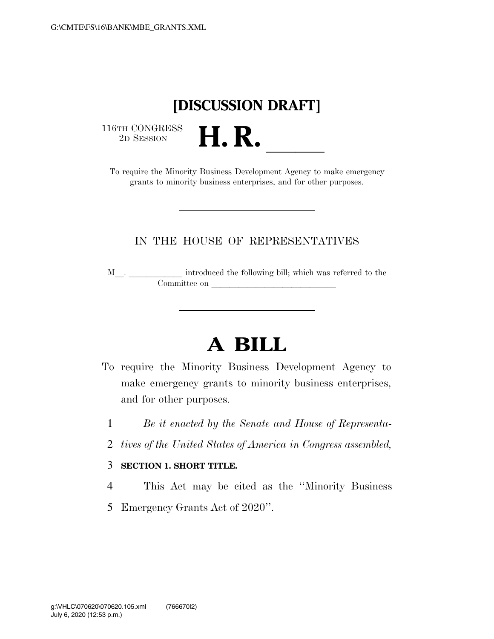## **[DISCUSSION DRAFT]**

 $\begin{array}{c} \textbf{116TH CONGRESS} \\ \textbf{2D SESION} \end{array}$ 

<sup>16TH CONGRESS</sup><br>
To require the Minority Business Development Agency to make emergency grants to minority business enterprises, and for other purposes.

### IN THE HOUSE OF REPRESENTATIVES

M\_\_. \_\_\_\_\_\_\_\_\_\_\_ introduced the following bill; which was referred to the  $\noindent \begin{tabular}{c} \multicolumn{1}{c}{} \multicolumn{1}{c}{} \multicolumn{1}{c}{} \multicolumn{1}{c}{} \multicolumn{1}{c}{} \multicolumn{1}{c}{} \multicolumn{1}{c}{} \multicolumn{1}{c}{} \multicolumn{1}{c}{} \multicolumn{1}{c}{} \multicolumn{1}{c}{} \multicolumn{1}{c}{} \multicolumn{1}{c}{} \multicolumn{1}{c}{} \multicolumn{1}{c}{} \multicolumn{1}{c}{} \multicolumn{1}{c}{} \multicolumn{1}{c}{} \multicolumn{1}{c}{} \multicolumn{1}{c}{} \multicolumn{1}{c}$ 

# **A BILL**

- To require the Minority Business Development Agency to make emergency grants to minority business enterprises, and for other purposes.
	- 1 *Be it enacted by the Senate and House of Representa-*
	- 2 *tives of the United States of America in Congress assembled,*

#### 3 **SECTION 1. SHORT TITLE.**

- 4 This Act may be cited as the ''Minority Business
- 5 Emergency Grants Act of 2020''.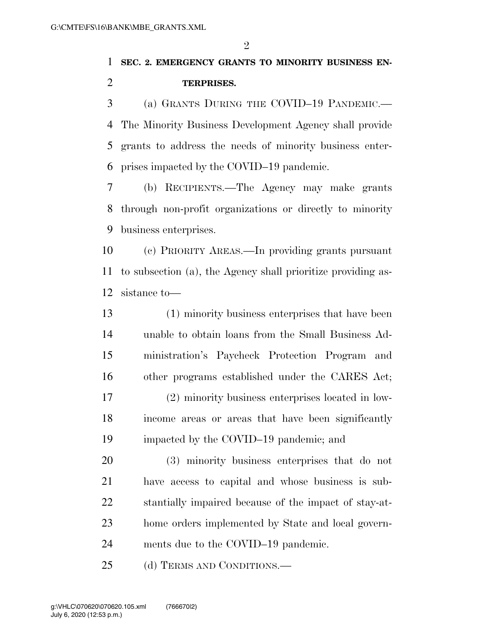### **SEC. 2. EMERGENCY GRANTS TO MINORITY BUSINESS EN-TERPRISES.**

 (a) GRANTS DURING THE COVID–19 PANDEMIC.— The Minority Business Development Agency shall provide grants to address the needs of minority business enter-prises impacted by the COVID–19 pandemic.

 (b) RECIPIENTS.—The Agency may make grants through non-profit organizations or directly to minority business enterprises.

 (c) PRIORITY AREAS.—In providing grants pursuant to subsection (a), the Agency shall prioritize providing as-sistance to—

 (1) minority business enterprises that have been unable to obtain loans from the Small Business Ad- ministration's Paycheck Protection Program and other programs established under the CARES Act; (2) minority business enterprises located in low- income areas or areas that have been significantly impacted by the COVID–19 pandemic; and

 (3) minority business enterprises that do not have access to capital and whose business is sub- stantially impaired because of the impact of stay-at- home orders implemented by State and local govern-ments due to the COVID–19 pandemic.

25 (d) TERMS AND CONDITIONS.—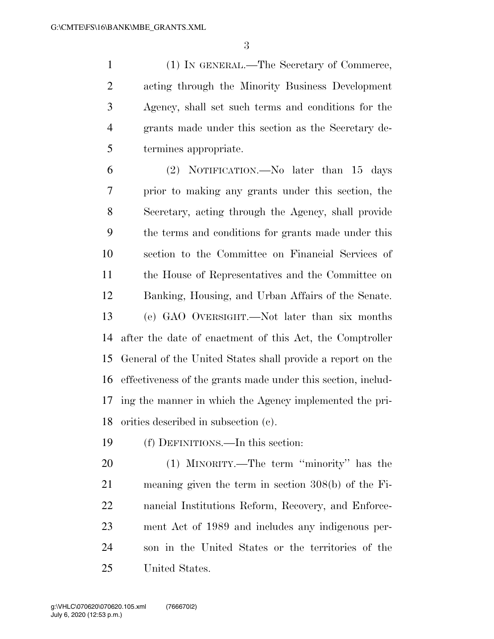(1) IN GENERAL.—The Secretary of Commerce, acting through the Minority Business Development Agency, shall set such terms and conditions for the grants made under this section as the Secretary de-termines appropriate.

 (2) NOTIFICATION.—No later than 15 days prior to making any grants under this section, the Secretary, acting through the Agency, shall provide the terms and conditions for grants made under this section to the Committee on Financial Services of the House of Representatives and the Committee on Banking, Housing, and Urban Affairs of the Senate. (e) GAO OVERSIGHT.—Not later than six months after the date of enactment of this Act, the Comptroller General of the United States shall provide a report on the effectiveness of the grants made under this section, includ- ing the manner in which the Agency implemented the pri-orities described in subsection (c).

(f) DEFINITIONS.—In this section:

 (1) MINORITY.—The term ''minority'' has the meaning given the term in section 308(b) of the Fi- nancial Institutions Reform, Recovery, and Enforce- ment Act of 1989 and includes any indigenous per- son in the United States or the territories of the United States.